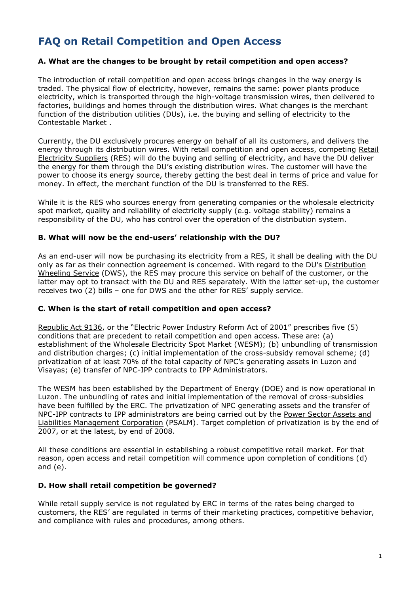# **FAQ on Retail Competition and Open Access**

### **A. What are the changes to be brought by retail competition and open access?**

The introduction of retail competition and open access brings changes in the way energy is traded. The physical flow of electricity, however, remains the same: power plants produce electricity, which is transported through the high-voltage transmission wires, then delivered to factories, buildings and homes through the distribution wires. What changes is the merchant function of the distribution utilities (DUs), i.e. the buying and selling of electricity to the Contestable Market .

Currently, the DU exclusively procures energy on behalf of all its customers, and delivers the energy through its distribution wires. With retail competition and open access, competing [Retail](http://www.buyyourelectricity.com.ph/glossary.htm)  [Electricity Suppliers](http://www.buyyourelectricity.com.ph/glossary.htm) (RES) will do the buying and selling of electricity, and have the DU deliver the energy for them through the DU's existing distribution wires. The customer will have the power to choose its energy source, thereby getting the best deal in terms of price and value for money. In effect, the merchant function of the DU is transferred to the RES.

While it is the RES who sources energy from generating companies or the wholesale electricity spot market, quality and reliability of electricity supply (e.g. voltage stability) remains a responsibility of the DU, who has control over the operation of the distribution system.

#### **B. What will now be the end-users' relationship with the DU?**

As an end-user will now be purchasing its electricity from a RES, it shall be dealing with the DU only as far as their connection agreement is concerned. With regard to the DU's [Distribution](http://www.buyyourelectricity.com.ph/glossary.htm)  [Wheeling Service](http://www.buyyourelectricity.com.ph/glossary.htm) (DWS), the RES may procure this service on behalf of the customer, or the latter may opt to transact with the DU and RES separately. With the latter set-up, the customer receives two (2) bills – one for DWS and the other for RES' supply service.

#### **C. When is the start of retail competition and open access?**

[Republic Act 9136](http://www.buyyourelectricity.com.ph/pdf/RA_9136.pdf), or the "Electric Power Industry Reform Act of 2001" prescribes five (5) conditions that are precedent to retail competition and open access. These are: (a) establishment of the Wholesale Electricity Spot Market (WESM); (b) unbundling of transmission and distribution charges; (c) initial implementation of the cross-subsidy removal scheme; (d) privatization of at least 70% of the total capacity of NPC's generating assets in Luzon and Visayas; (e) transfer of NPC-IPP contracts to IPP Administrators.

The WESM has been established by the [Department of Energy](http://www.doe.gov.ph/) (DOE) and is now operational in Luzon. The unbundling of rates and initial implementation of the removal of cross-subsidies have been fulfilled by the ERC. The privatization of NPC generating assets and the transfer of NPC-IPP contracts to IPP administrators are being carried out by the [Power Sector Assets and](http://www.psalm.gov.ph/)  [Liabilities Management Corporation](http://www.psalm.gov.ph/) (PSALM). Target completion of privatization is by the end of 2007, or at the latest, by end of 2008.

All these conditions are essential in establishing a robust competitive retail market. For that reason, open access and retail competition will commence upon completion of conditions (d) and (e).

#### **D. How shall retail competition be governed?**

While retail supply service is not regulated by ERC in terms of the rates being charged to customers, the RES' are regulated in terms of their marketing practices, competitive behavior, and compliance with rules and procedures, among others.